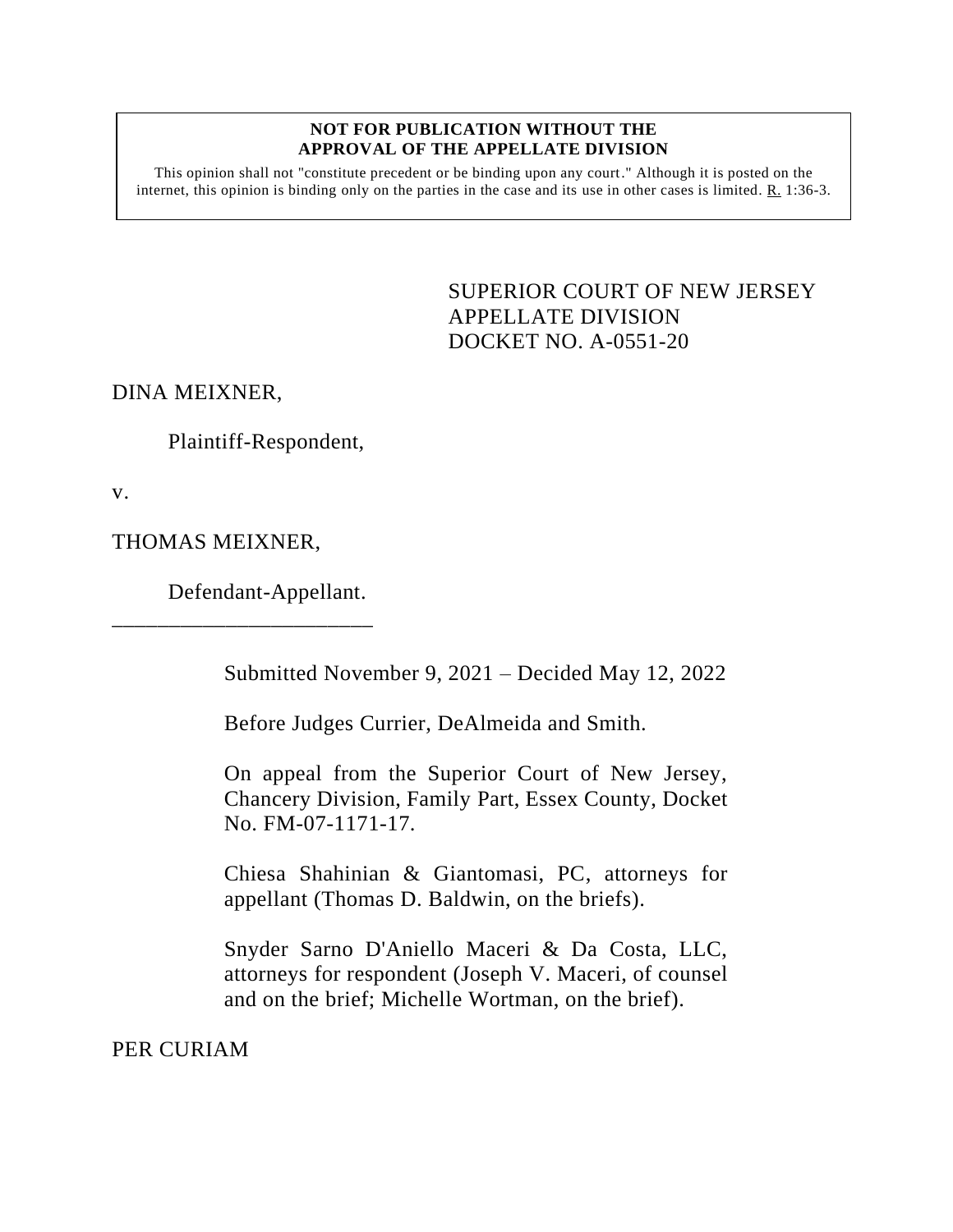## **NOT FOR PUBLICATION WITHOUT THE APPROVAL OF THE APPELLATE DIVISION**

This opinion shall not "constitute precedent or be binding upon any court." Although it is posted on the internet, this opinion is binding only on the parties in the case and its use in other cases is limited.  $R_1$  1:36-3.

> <span id="page-0-0"></span>SUPERIOR COURT OF NEW JERSEY APPELLATE DIVISION DOCKET NO. A-0551-20

DINA MEIXNER,

Plaintiff-Respondent,

v.

THOMAS MEIXNER,

Defendant-Appellant.

\_\_\_\_\_\_\_\_\_\_\_\_\_\_\_\_\_\_\_\_\_\_\_

Submitted November 9, 2021 – Decided May 12, 2022

Before Judges Currier, DeAlmeida and Smith.

On appeal from the Superior Court of New Jersey, Chancery Division, Family Part, Essex County, Docket No. FM-07-1171-17.

Chiesa Shahinian & Giantomasi, PC, attorneys for appellant (Thomas D. Baldwin, on the briefs).

Snyder Sarno D'Aniello Maceri & Da Costa, LLC, attorneys for respondent (Joseph V. Maceri, of counsel and on the brief; Michelle Wortman, on the brief).

PER CURIAM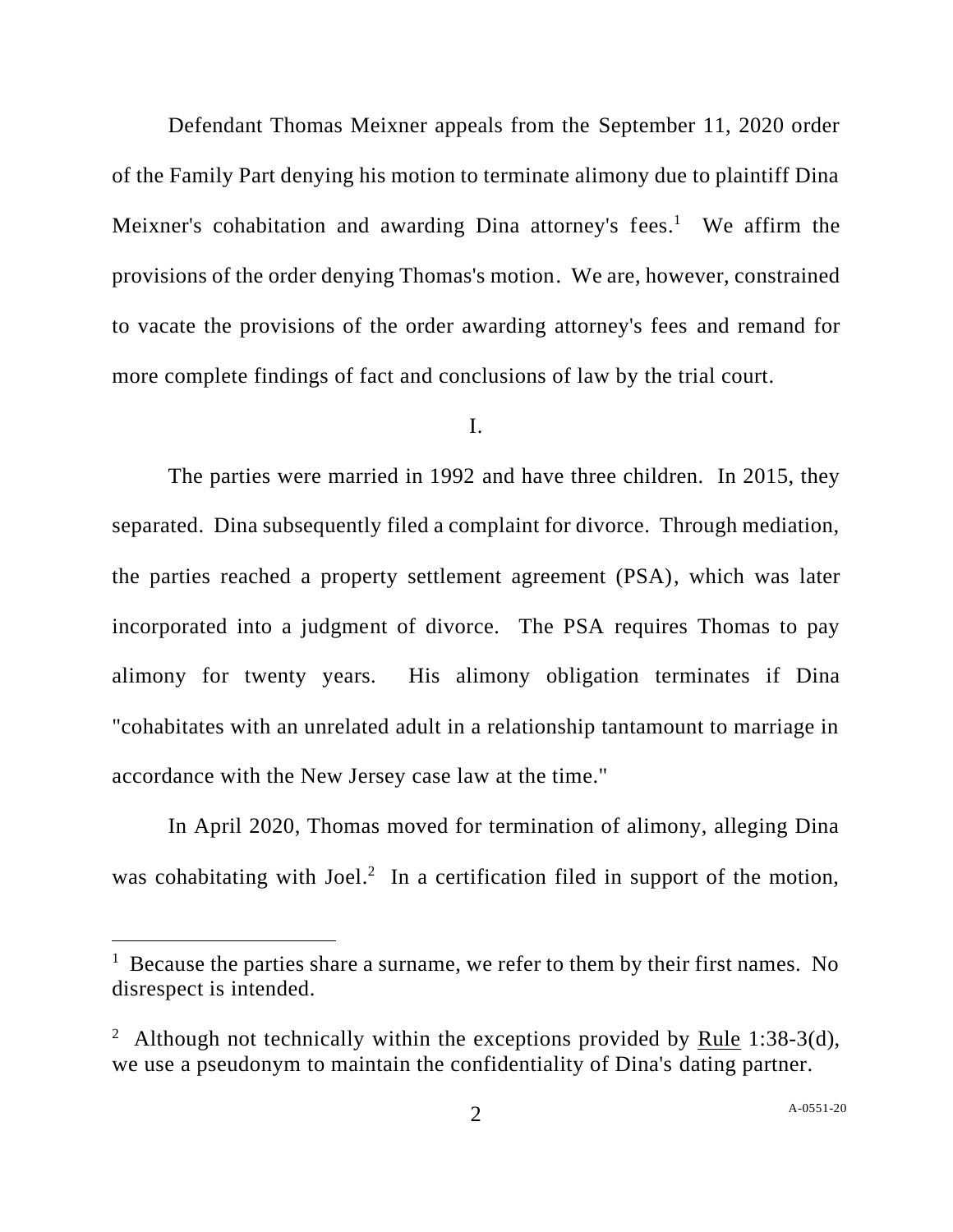Defendant Thomas Meixner appeals from the September 11, 2020 order of the Family Part denying his motion to terminate alimony due to plaintiff Dina Meixner's cohabitation and awarding Dina attorney's fees.<sup>1</sup> We affirm the provisions of the order denying Thomas's motion. We are, however, constrained to vacate the provisions of the order awarding attorney's fees and remand for more complete findings of fact and conclusions of law by the trial court.

## I.

The parties were married in 1992 and have three children. In 2015, they separated. Dina subsequently filed a complaint for divorce. Through mediation, the parties reached a property settlement agreement (PSA), which was later incorporated into a judgment of divorce. The PSA requires Thomas to pay alimony for twenty years. His alimony obligation terminates if Dina "cohabitates with an unrelated adult in a relationship tantamount to marriage in accordance with the New Jersey case law at the time."

In April 2020, Thomas moved for termination of alimony, alleging Dina was cohabitating with Joel.<sup>2</sup> In a certification filed in support of the motion,

<sup>&</sup>lt;sup>1</sup> Because the parties share a surname, we refer to them by their first names. No disrespect is intended.

<sup>&</sup>lt;sup>2</sup> Although not technically within the exceptions provided by <u>Rule</u> 1:38-3(d), we use a pseudonym to maintain the confidentiality of Dina's dating partner.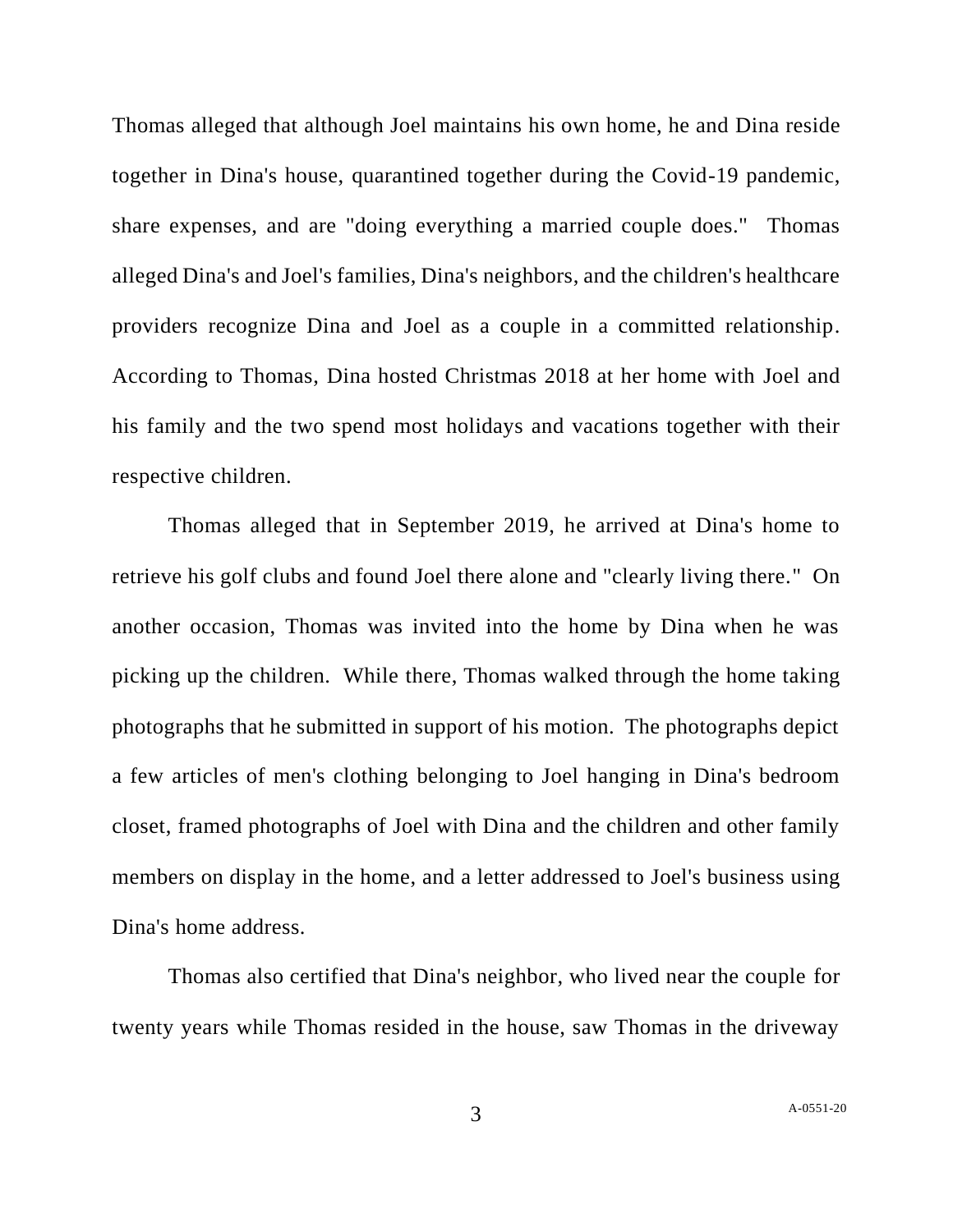Thomas alleged that although Joel maintains his own home, he and Dina reside together in Dina's house, quarantined together during the Covid-19 pandemic, share expenses, and are "doing everything a married couple does." Thomas alleged Dina's and Joel's families, Dina's neighbors, and the children's healthcare providers recognize Dina and Joel as a couple in a committed relationship. According to Thomas, Dina hosted Christmas 2018 at her home with Joel and his family and the two spend most holidays and vacations together with their respective children.

Thomas alleged that in September 2019, he arrived at Dina's home to retrieve his golf clubs and found Joel there alone and "clearly living there." On another occasion, Thomas was invited into the home by Dina when he was picking up the children. While there, Thomas walked through the home taking photographs that he submitted in support of his motion. The photographs depict a few articles of men's clothing belonging to Joel hanging in Dina's bedroom closet, framed photographs of Joel with Dina and the children and other family members on display in the home, and a letter addressed to Joel's business using Dina's home address.

Thomas also certified that Dina's neighbor, who lived near the couple for twenty years while Thomas resided in the house, saw Thomas in the driveway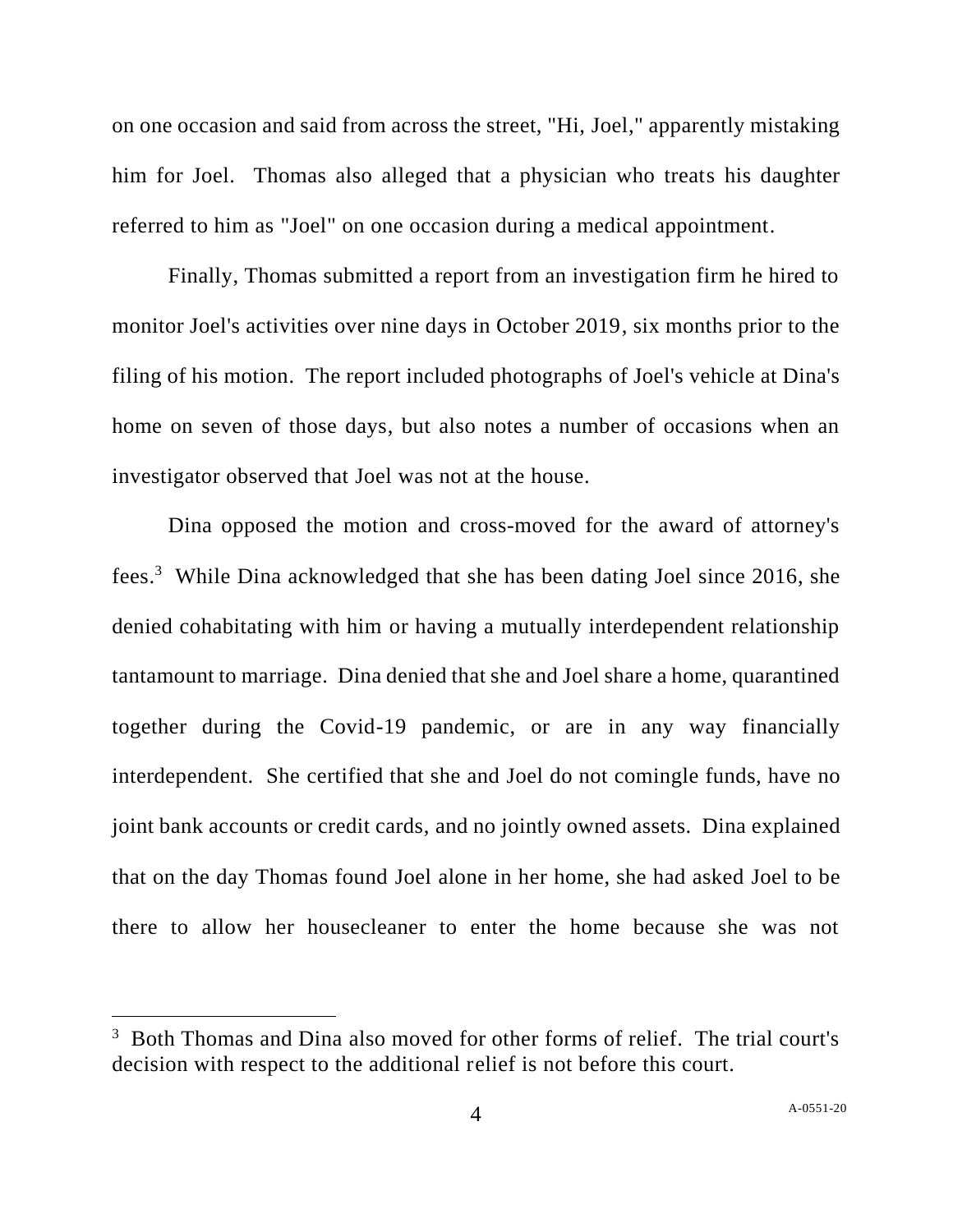on one occasion and said from across the street, "Hi, Joel," apparently mistaking him for Joel. Thomas also alleged that a physician who treats his daughter referred to him as "Joel" on one occasion during a medical appointment.

Finally, Thomas submitted a report from an investigation firm he hired to monitor Joel's activities over nine days in October 2019, six months prior to the filing of his motion. The report included photographs of Joel's vehicle at Dina's home on seven of those days, but also notes a number of occasions when an investigator observed that Joel was not at the house.

Dina opposed the motion and cross-moved for the award of attorney's fees. 3 While Dina acknowledged that she has been dating Joel since 2016, she denied cohabitating with him or having a mutually interdependent relationship tantamount to marriage. Dina denied that she and Joel share a home, quarantined together during the Covid-19 pandemic, or are in any way financially interdependent. She certified that she and Joel do not comingle funds, have no joint bank accounts or credit cards, and no jointly owned assets. Dina explained that on the day Thomas found Joel alone in her home, she had asked Joel to be there to allow her housecleaner to enter the home because she was not

<sup>&</sup>lt;sup>3</sup> Both Thomas and Dina also moved for other forms of relief. The trial court's decision with respect to the additional relief is not before this court.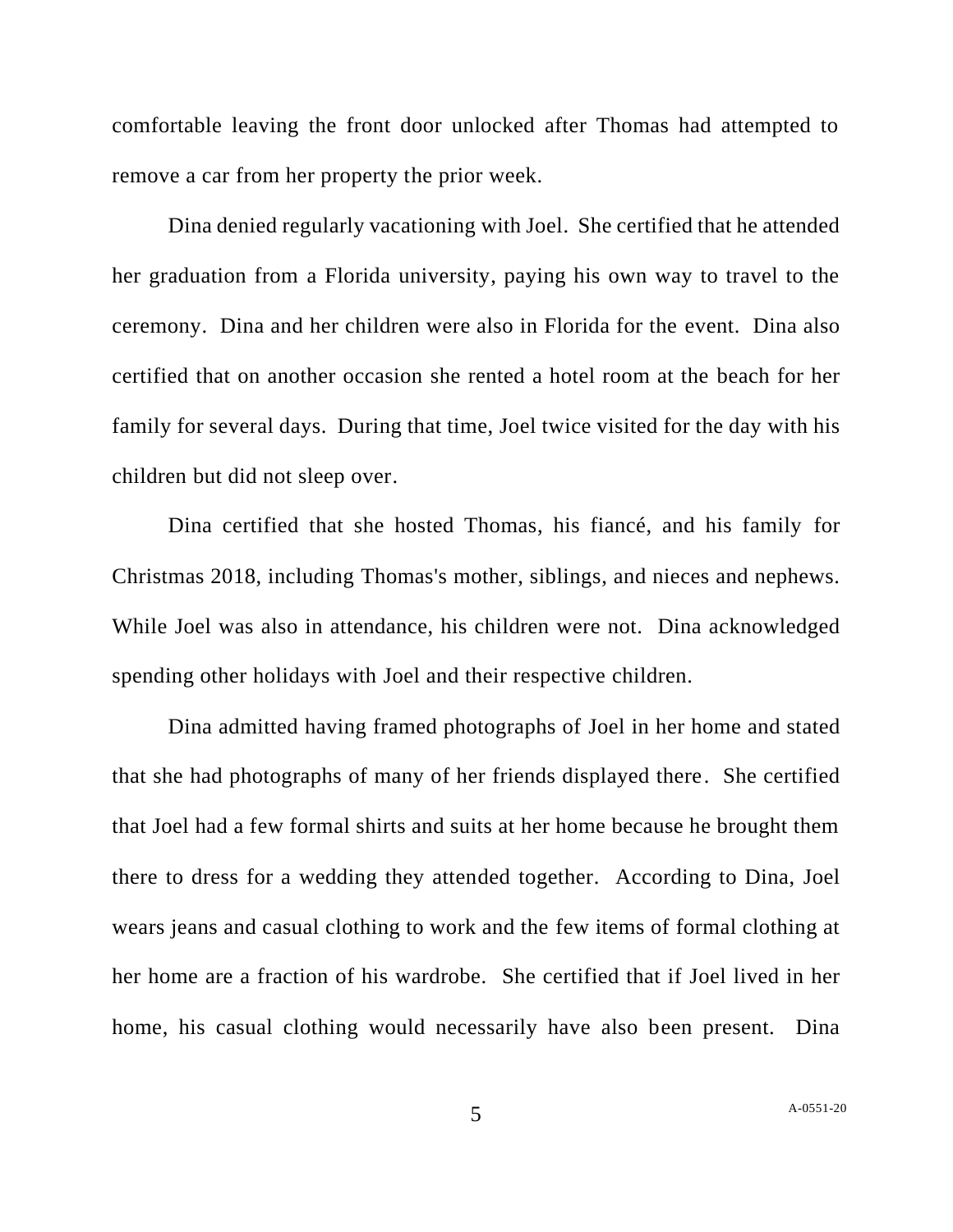comfortable leaving the front door unlocked after Thomas had attempted to remove a car from her property the prior week.

Dina denied regularly vacationing with Joel. She certified that he attended her graduation from a Florida university, paying his own way to travel to the ceremony. Dina and her children were also in Florida for the event. Dina also certified that on another occasion she rented a hotel room at the beach for her family for several days. During that time, Joel twice visited for the day with his children but did not sleep over.

Dina certified that she hosted Thomas, his fiancé, and his family for Christmas 2018, including Thomas's mother, siblings, and nieces and nephews. While Joel was also in attendance, his children were not. Dina acknowledged spending other holidays with Joel and their respective children.

Dina admitted having framed photographs of Joel in her home and stated that she had photographs of many of her friends displayed there. She certified that Joel had a few formal shirts and suits at her home because he brought them there to dress for a wedding they attended together. According to Dina, Joel wears jeans and casual clothing to work and the few items of formal clothing at her home are a fraction of his wardrobe. She certified that if Joel lived in her home, his casual clothing would necessarily have also been present. Dina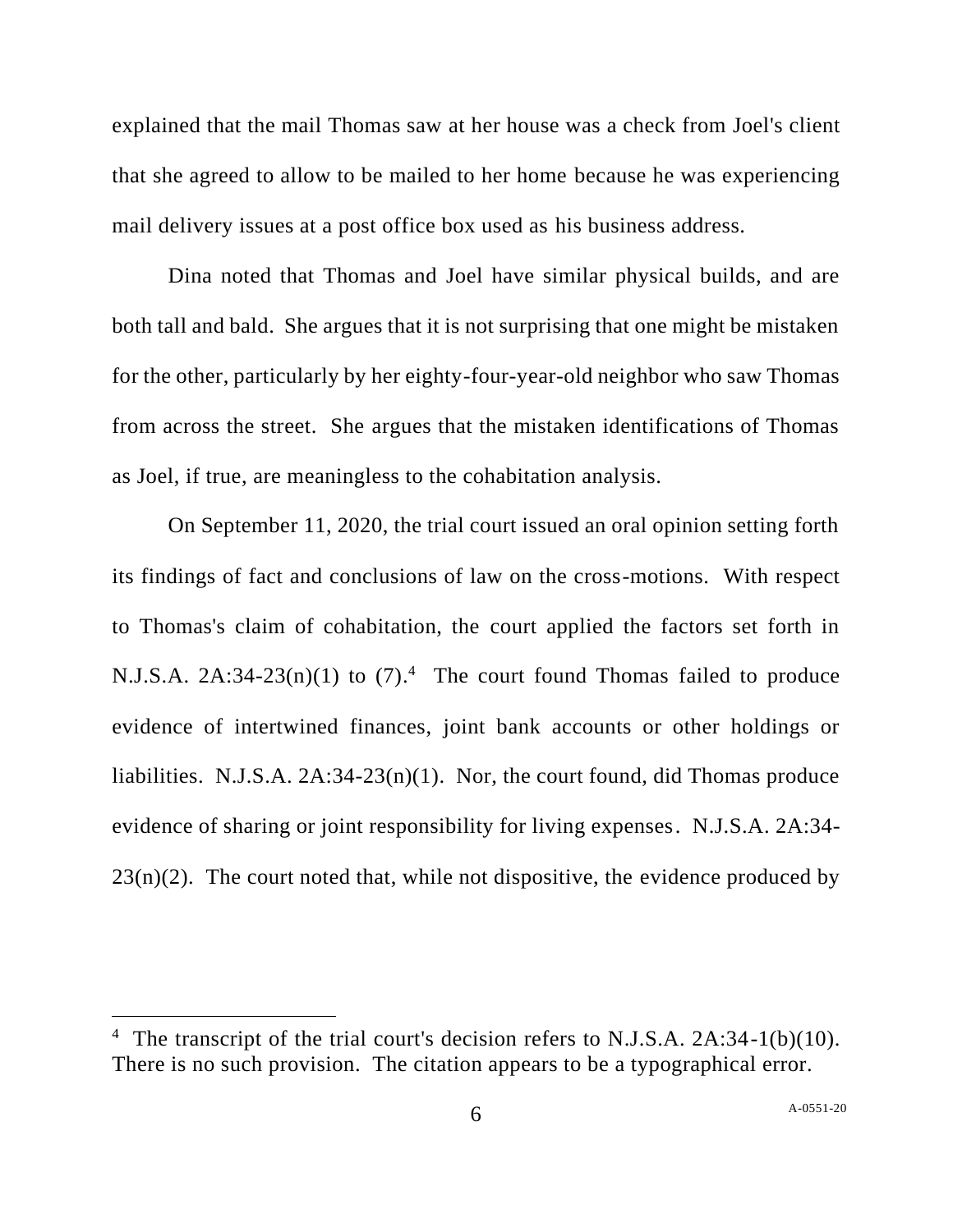explained that the mail Thomas saw at her house was a check from Joel's client that she agreed to allow to be mailed to her home because he was experiencing mail delivery issues at a post office box used as his business address.

Dina noted that Thomas and Joel have similar physical builds, and are both tall and bald. She argues that it is not surprising that one might be mistaken for the other, particularly by her eighty-four-year-old neighbor who saw Thomas from across the street. She argues that the mistaken identifications of Thomas as Joel, if true, are meaningless to the cohabitation analysis.

On September 11, 2020, the trial court issued an oral opinion setting forth its findings of fact and conclusions of law on the cross-motions. With respect to Thomas's claim of cohabitation, the court applied the factors set forth in N.J.S.A.  $2A:34-23(n)(1)$  to  $(7).<sup>4</sup>$  The court found Thomas failed to produce evidence of intertwined finances, joint bank accounts or other holdings or liabilities. N.J.S.A. 2A:34-23(n)(1). Nor, the court found, did Thomas produce evidence of sharing or joint responsibility for living expenses. N.J.S.A. 2A:34-  $23(n)(2)$ . The court noted that, while not dispositive, the evidence produced by

<sup>&</sup>lt;sup>4</sup> The transcript of the trial court's decision refers to N.J.S.A. 2A:34-1(b)(10). There is no such provision. The citation appears to be a typographical error.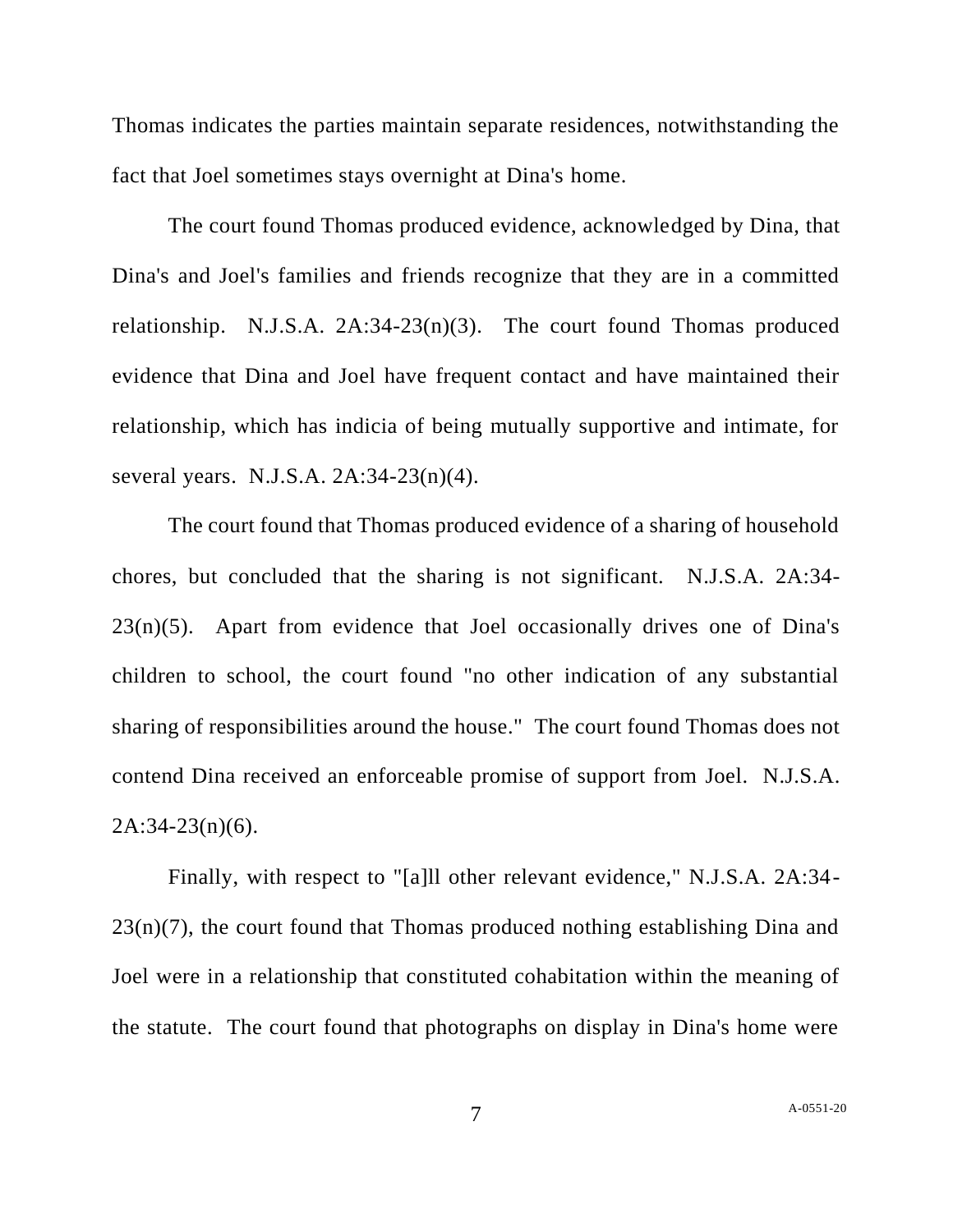Thomas indicates the parties maintain separate residences, notwithstanding the fact that Joel sometimes stays overnight at Dina's home.

The court found Thomas produced evidence, acknowledged by Dina, that Dina's and Joel's families and friends recognize that they are in a committed relationship. N.J.S.A. 2A:34-23(n)(3). The court found Thomas produced evidence that Dina and Joel have frequent contact and have maintained their relationship, which has indicia of being mutually supportive and intimate, for several years. N.J.S.A. 2A:34-23(n)(4).

The court found that Thomas produced evidence of a sharing of household chores, but concluded that the sharing is not significant. N.J.S.A. 2A:34-  $23(n)(5)$ . Apart from evidence that Joel occasionally drives one of Dina's children to school, the court found "no other indication of any substantial sharing of responsibilities around the house." The court found Thomas does not contend Dina received an enforceable promise of support from Joel. N.J.S.A.  $2A:34-23(n)(6)$ .

Finally, with respect to "[a]ll other relevant evidence," N.J.S.A. 2A:34-  $23(n)(7)$ , the court found that Thomas produced nothing establishing Dina and Joel were in a relationship that constituted cohabitation within the meaning of the statute. The court found that photographs on display in Dina's home were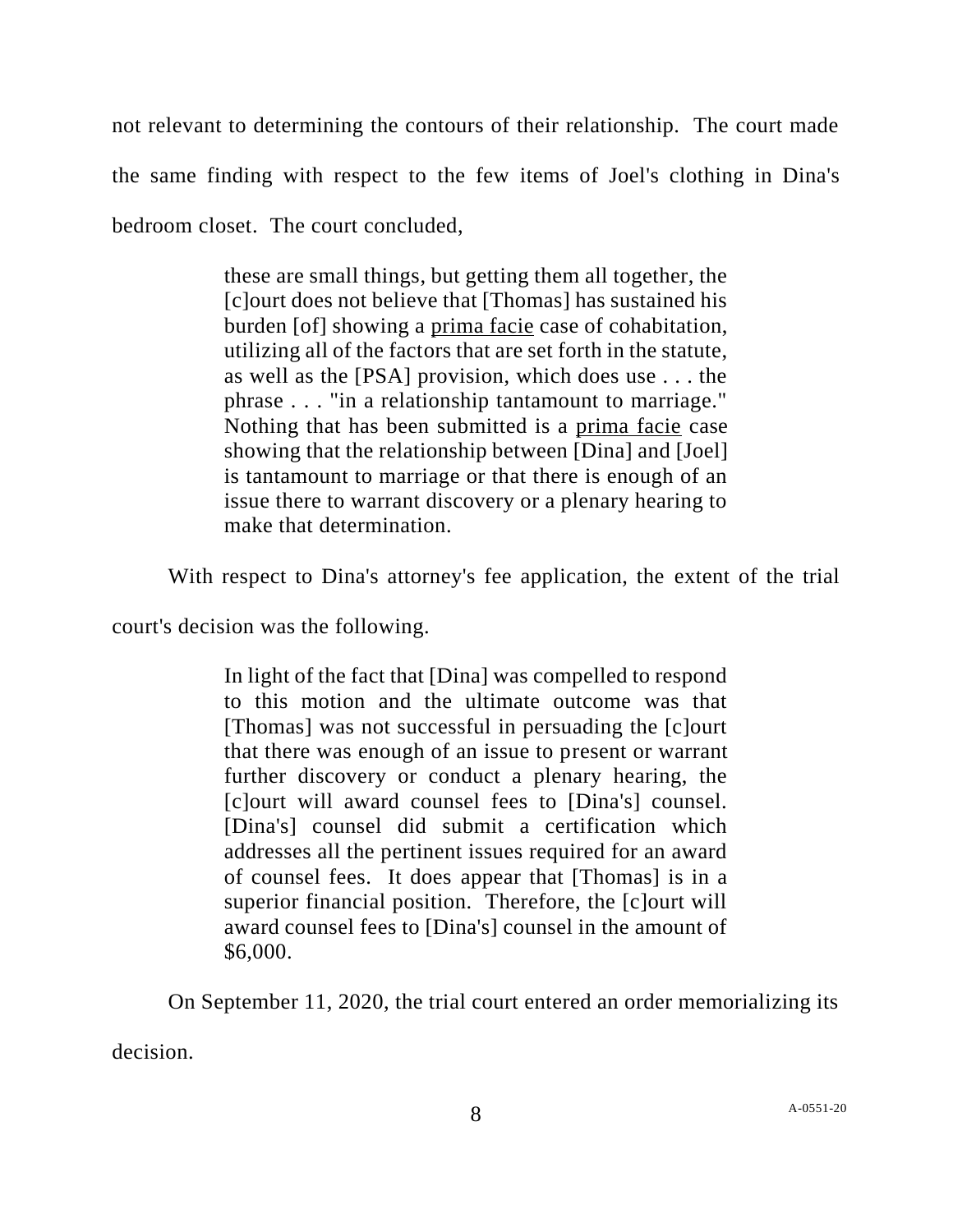not relevant to determining the contours of their relationship. The court made the same finding with respect to the few items of Joel's clothing in Dina's bedroom closet. The court concluded,

> these are small things, but getting them all together, the [c]ourt does not believe that [Thomas] has sustained his burden [of] showing a prima facie case of cohabitation, utilizing all of the factors that are set forth in the statute, as well as the [PSA] provision, which does use . . . the phrase . . . "in a relationship tantamount to marriage." Nothing that has been submitted is a prima facie case showing that the relationship between [Dina] and [Joel] is tantamount to marriage or that there is enough of an issue there to warrant discovery or a plenary hearing to make that determination.

With respect to Dina's attorney's fee application, the extent of the trial

court's decision was the following.

In light of the fact that [Dina] was compelled to respond to this motion and the ultimate outcome was that [Thomas] was not successful in persuading the [c]ourt that there was enough of an issue to present or warrant further discovery or conduct a plenary hearing, the [c]ourt will award counsel fees to [Dina's] counsel. [Dina's] counsel did submit a certification which addresses all the pertinent issues required for an award of counsel fees. It does appear that [Thomas] is in a superior financial position. Therefore, the [c]ourt will award counsel fees to [Dina's] counsel in the amount of \$6,000.

On September 11, 2020, the trial court entered an order memorializing its decision.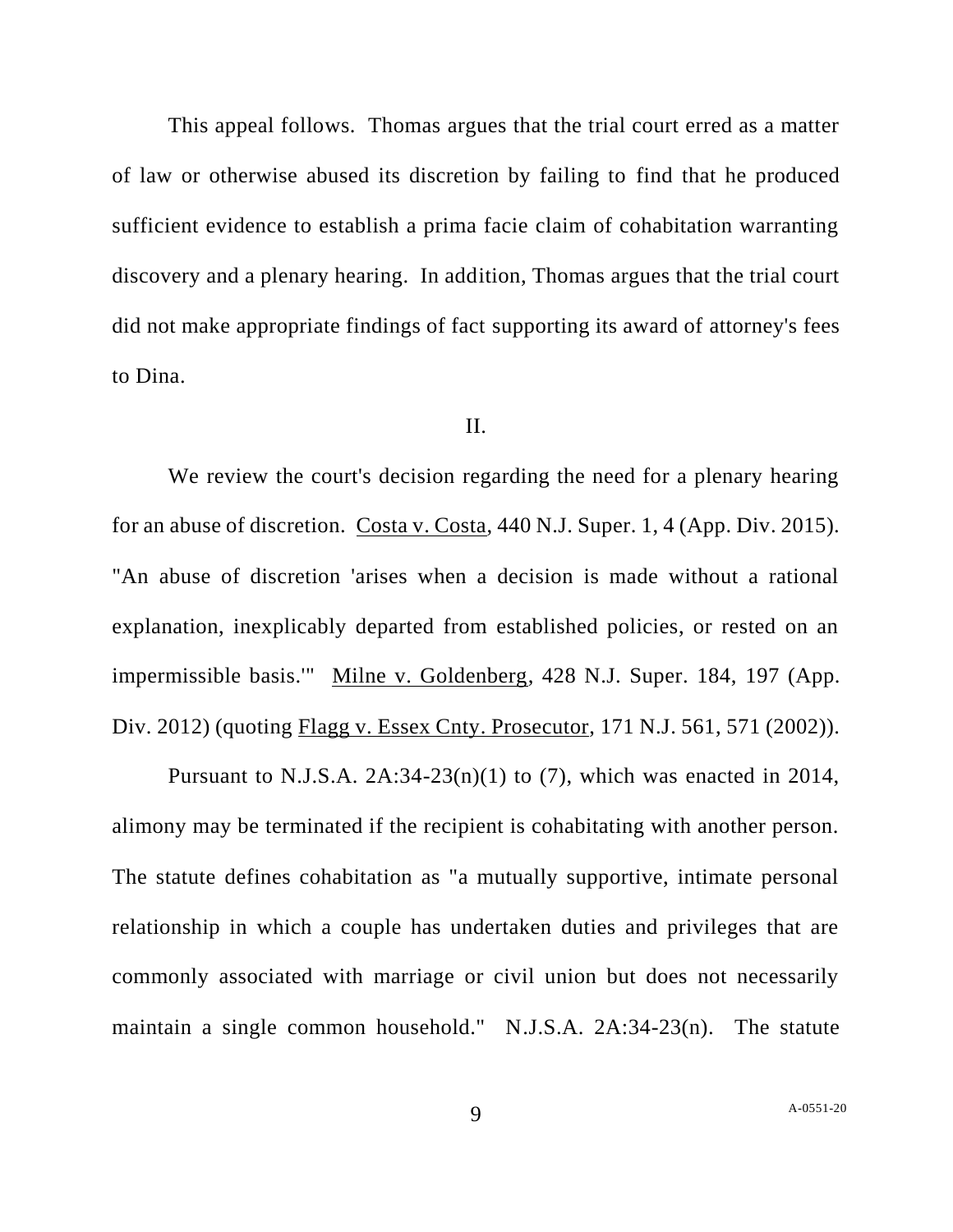This appeal follows. Thomas argues that the trial court erred as a matter of law or otherwise abused its discretion by failing to find that he produced sufficient evidence to establish a prima facie claim of cohabitation warranting discovery and a plenary hearing. In addition, Thomas argues that the trial court did not make appropriate findings of fact supporting its award of attorney's fees to Dina.

## II.

We review the court's decision regarding the need for a plenary hearing for an abuse of discretion. Costa v. Costa, 440 N.J. Super. 1, 4 (App. Div. 2015). "An abuse of discretion 'arises when a decision is made without a rational explanation, inexplicably departed from established policies, or rested on an impermissible basis.'" Milne v. Goldenberg, 428 N.J. Super. 184, 197 (App. Div. 2012) (quoting Flagg v. Essex Cnty. Prosecutor, 171 N.J. 561, 571 (2002)).

Pursuant to N.J.S.A.  $2A:34-23(n)(1)$  to (7), which was enacted in 2014, alimony may be terminated if the recipient is cohabitating with another person. The statute defines cohabitation as "a mutually supportive, intimate personal relationship in which a couple has undertaken duties and privileges that are commonly associated with marriage or civil union but does not necessarily maintain a single common household." N.J.S.A. 2A:34-23(n). The statute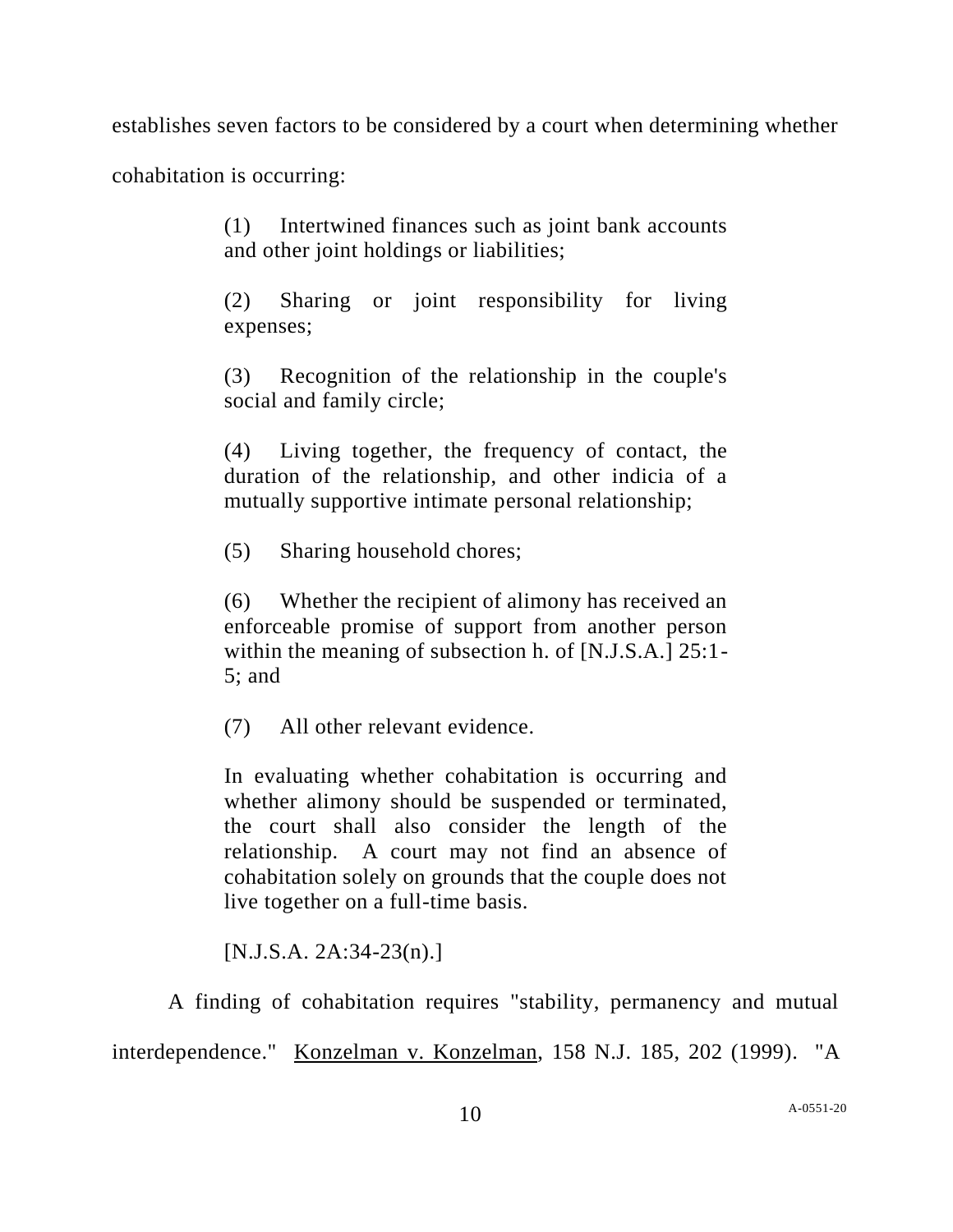establishes seven factors to be considered by a court when determining whether

cohabitation is occurring:

(1) Intertwined finances such as joint bank accounts and other joint holdings or liabilities;

(2) Sharing or joint responsibility for living expenses;

(3) Recognition of the relationship in the couple's social and family circle;

(4) Living together, the frequency of contact, the duration of the relationship, and other indicia of a mutually supportive intimate personal relationship;

(5) Sharing household chores;

(6) Whether the recipient of alimony has received an enforceable promise of support from another person within the meaning of subsection h. of [N.J.S.A.] 25:1- 5; and

(7) All other relevant evidence.

In evaluating whether cohabitation is occurring and whether alimony should be suspended or terminated, the court shall also consider the length of the relationship. A court may not find an absence of cohabitation solely on grounds that the couple does not live together on a full-time basis.

[N.J.S.A. 2A:34-23(n).]

A finding of cohabitation requires "stability, permanency and mutual

interdependence." Konzelman v. Konzelman, 158 N.J. 185, 202 (1999). "A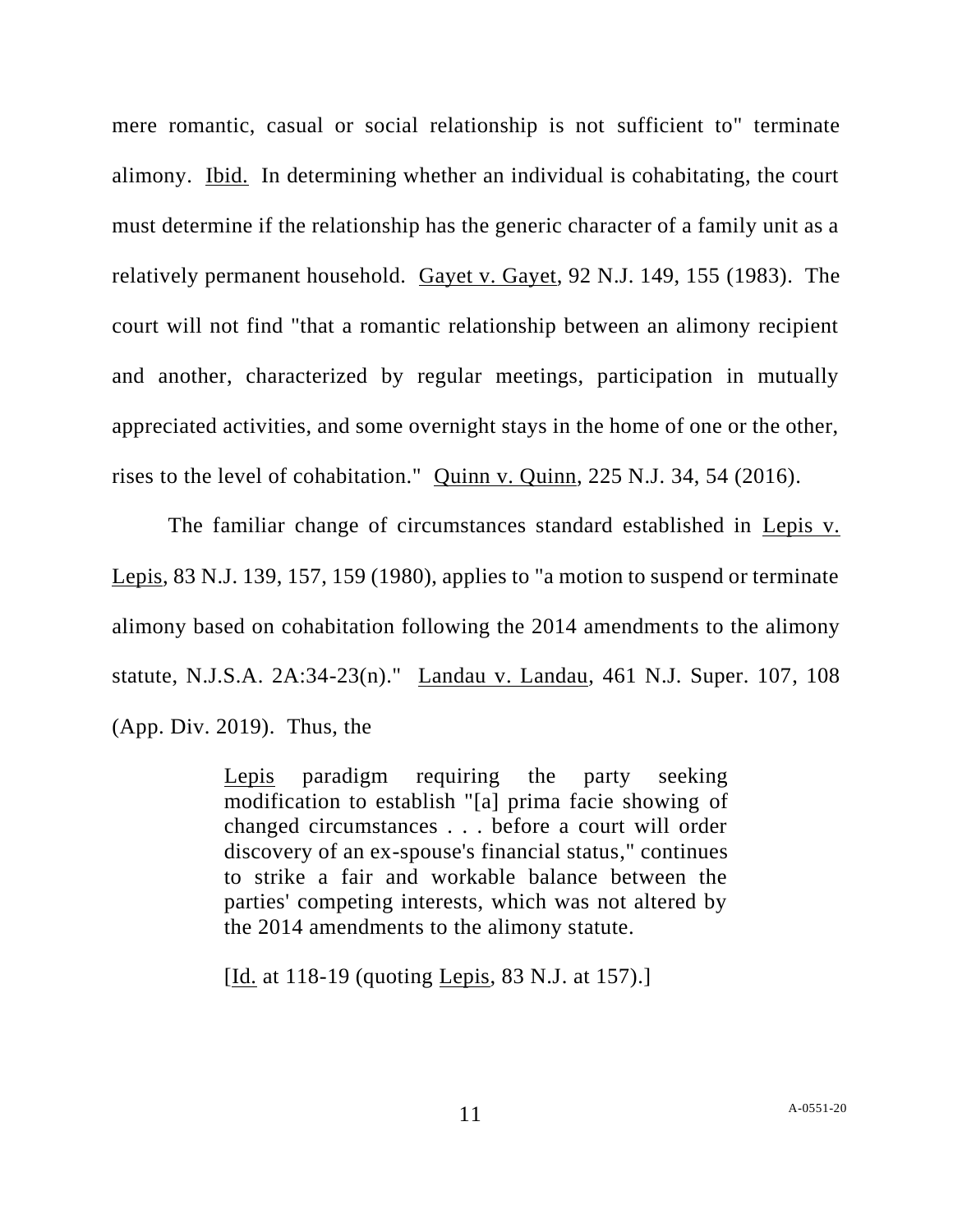mere romantic, casual or social relationship is not sufficient to" terminate alimony. Ibid. In determining whether an individual is cohabitating, the court must determine if the relationship has the generic character of a family unit as a relatively permanent household. Gayet v. Gayet, 92 N.J. 149, 155 (1983). The court will not find "that a romantic relationship between an alimony recipient and another, characterized by regular meetings, participation in mutually appreciated activities, and some overnight stays in the home of one or the other, rises to the level of cohabitation." Quinn v. Quinn, 225 N.J. 34, 54 (2016).

The familiar change of circumstances standard established in Lepis v. Lepis, 83 N.J. 139, 157, 159 (1980), applies to "a motion to suspend or terminate alimony based on cohabitation following the 2014 amendments to the alimony statute, N.J.S.A. 2A:34-23(n)." Landau v. Landau, 461 N.J. Super. 107, 108 (App. Div. 2019). Thus, the

> Lepis paradigm requiring the party seeking modification to establish "[a] prima facie showing of changed circumstances . . . before a court will order discovery of an ex-spouse's financial status," continues to strike a fair and workable balance between the parties' competing interests, which was not altered by the 2014 amendments to the alimony statute.

[Id. at 118-19 (quoting Lepis, 83 N.J. at 157).]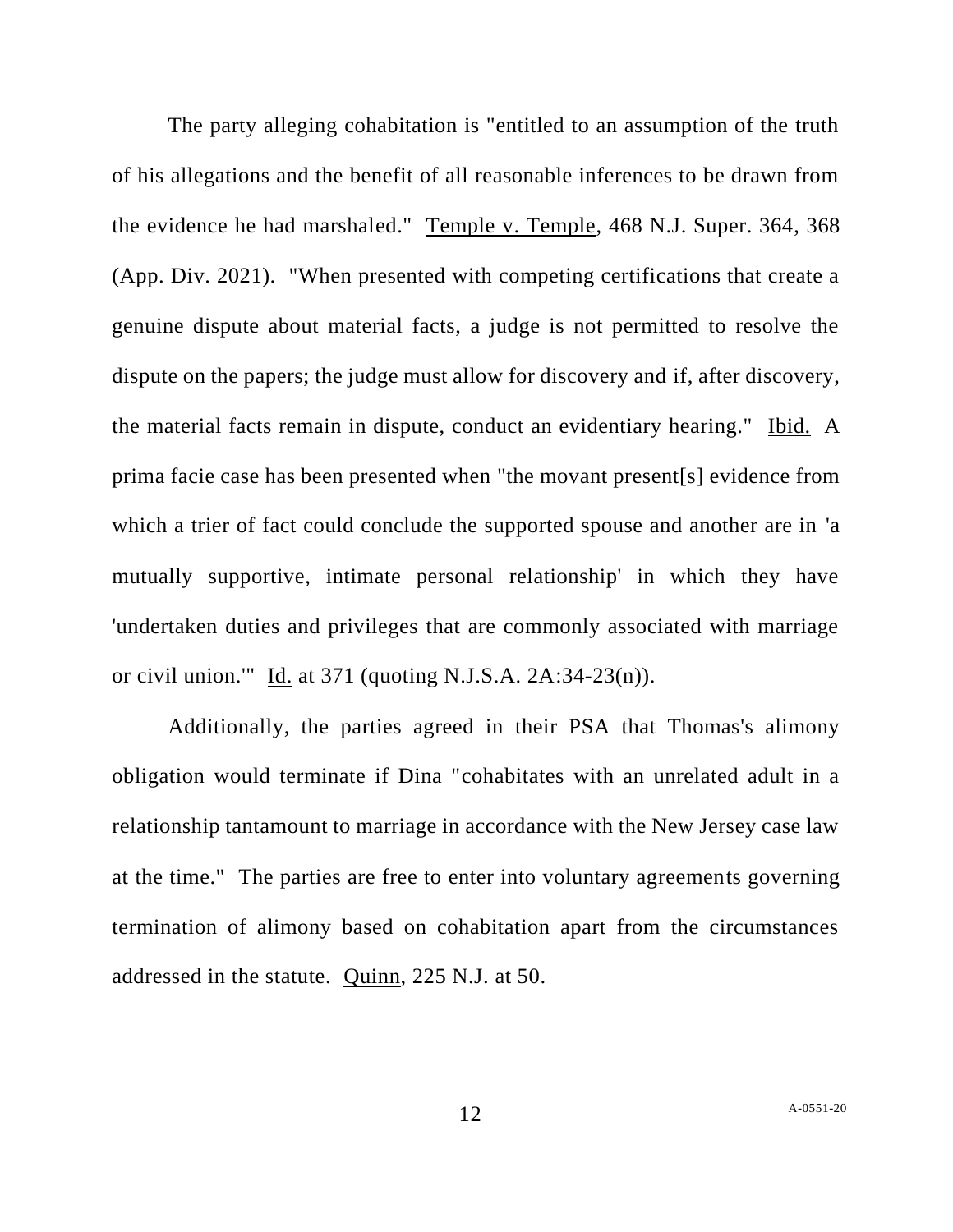The party alleging cohabitation is "entitled to an assumption of the truth of his allegations and the benefit of all reasonable inferences to be drawn from the evidence he had marshaled." Temple v. Temple, 468 N.J. Super. 364, 368 (App. Div. 2021). "When presented with competing certifications that create a genuine dispute about material facts, a judge is not permitted to resolve the dispute on the papers; the judge must allow for discovery and if, after discovery, the material facts remain in dispute, conduct an evidentiary hearing." Ibid. A prima facie case has been presented when "the movant present[s] evidence from which a trier of fact could conclude the supported spouse and another are in 'a mutually supportive, intimate personal relationship' in which they have 'undertaken duties and privileges that are commonly associated with marriage or civil union."  $\underline{Id}$  at 371 (quoting N.J.S.A. 2A:34-23(n)).

Additionally, the parties agreed in their PSA that Thomas's alimony obligation would terminate if Dina "cohabitates with an unrelated adult in a relationship tantamount to marriage in accordance with the New Jersey case law at the time." The parties are free to enter into voluntary agreements governing termination of alimony based on cohabitation apart from the circumstances addressed in the statute. Quinn, 225 N.J. at 50.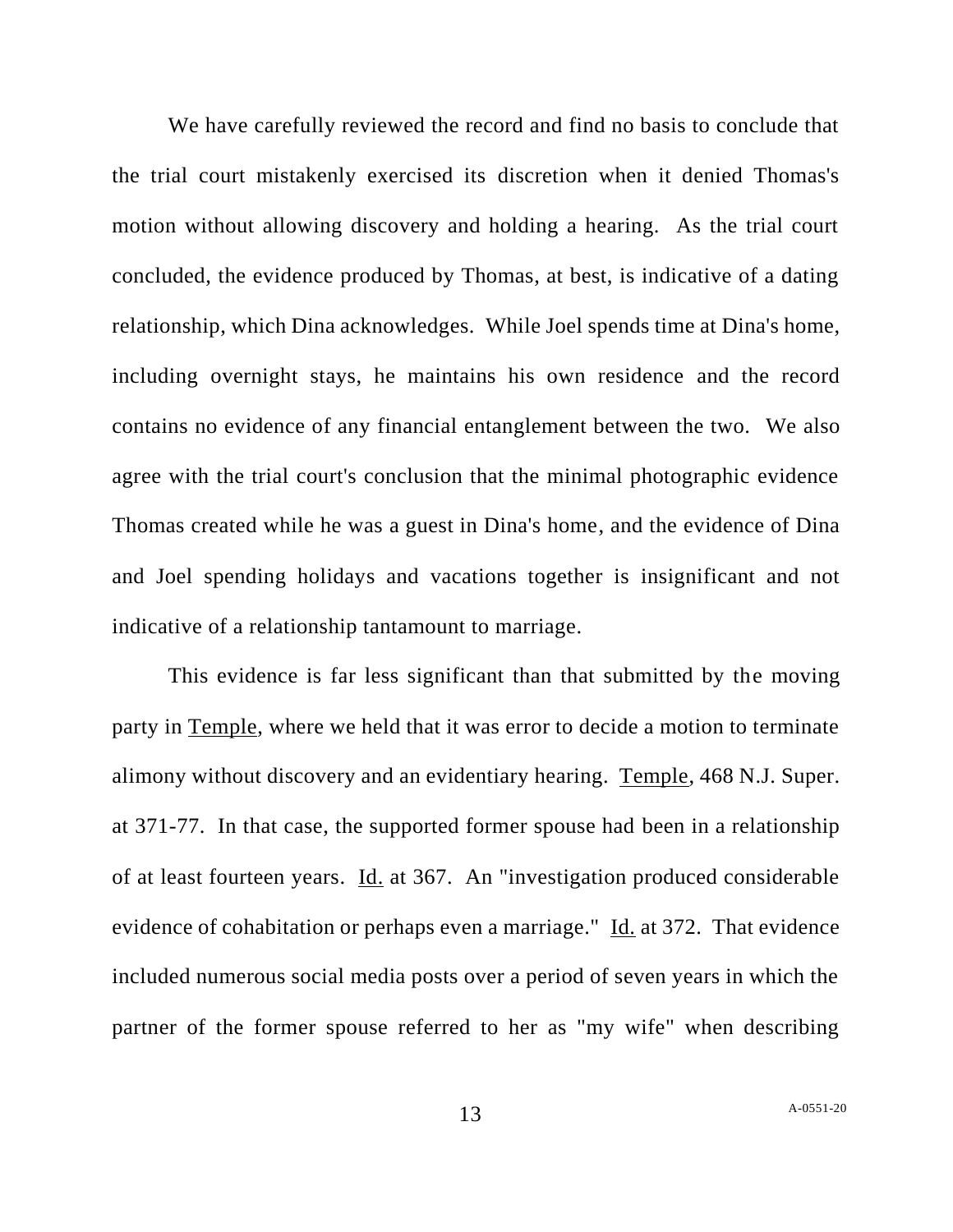We have carefully reviewed the record and find no basis to conclude that the trial court mistakenly exercised its discretion when it denied Thomas's motion without allowing discovery and holding a hearing. As the trial court concluded, the evidence produced by Thomas, at best, is indicative of a dating relationship, which Dina acknowledges. While Joel spends time at Dina's home, including overnight stays, he maintains his own residence and the record contains no evidence of any financial entanglement between the two. We also agree with the trial court's conclusion that the minimal photographic evidence Thomas created while he was a guest in Dina's home, and the evidence of Dina and Joel spending holidays and vacations together is insignificant and not indicative of a relationship tantamount to marriage.

This evidence is far less significant than that submitted by the moving party in Temple, where we held that it was error to decide a motion to terminate alimony without discovery and an evidentiary hearing. Temple, 468 N.J. Super. at 371-77. In that case, the supported former spouse had been in a relationship of at least fourteen years. Id. at 367. An "investigation produced considerable evidence of cohabitation or perhaps even a marriage." Id. at 372. That evidence included numerous social media posts over a period of seven years in which the partner of the former spouse referred to her as "my wife" when describing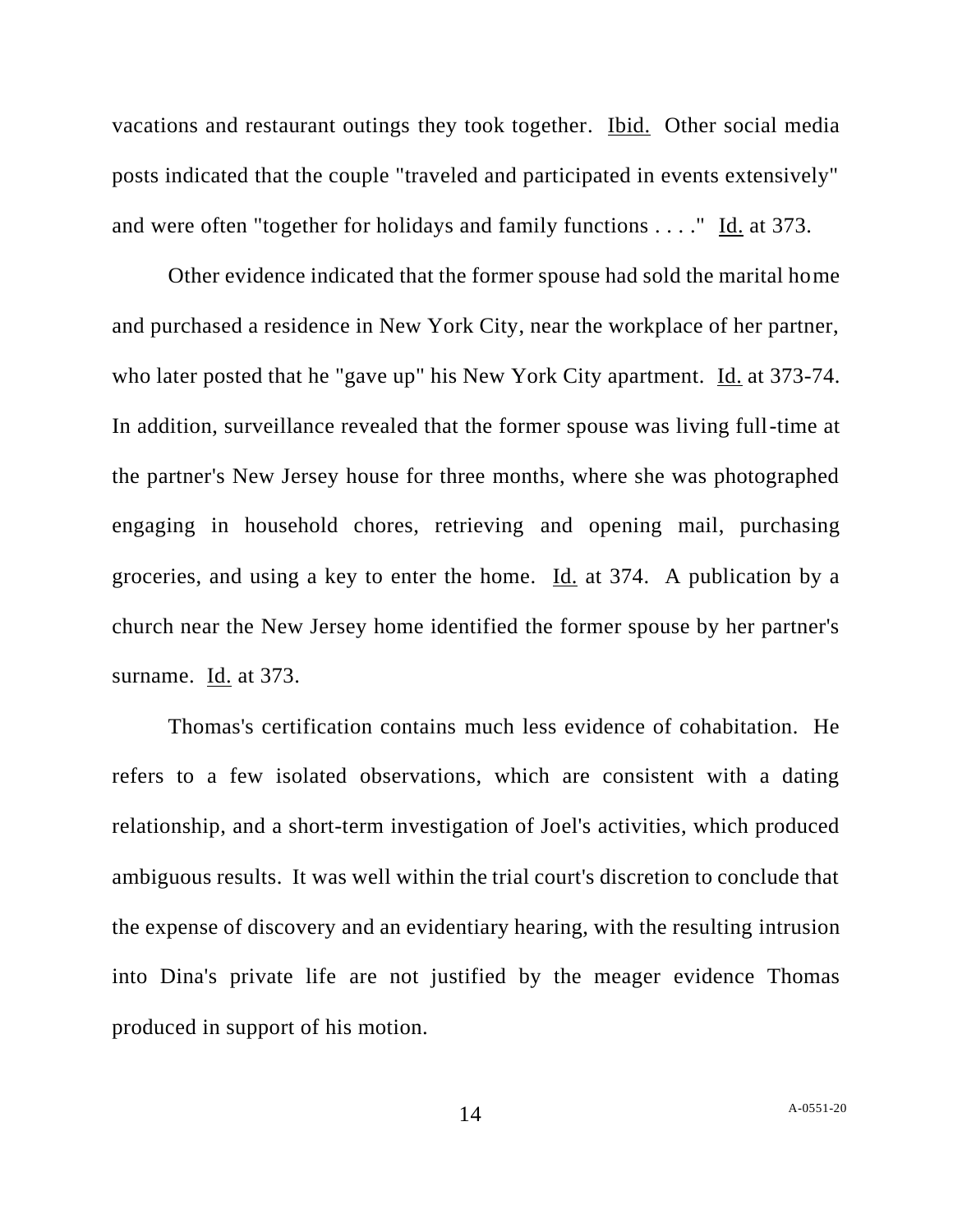vacations and restaurant outings they took together. Ibid. Other social media posts indicated that the couple "traveled and participated in events extensively" and were often "together for holidays and family functions . . . ." Id. at 373.

Other evidence indicated that the former spouse had sold the marital home and purchased a residence in New York City, near the workplace of her partner, who later posted that he "gave up" his New York City apartment. Id. at 373-74. In addition, surveillance revealed that the former spouse was living full-time at the partner's New Jersey house for three months, where she was photographed engaging in household chores, retrieving and opening mail, purchasing groceries, and using a key to enter the home. Id. at 374. A publication by a church near the New Jersey home identified the former spouse by her partner's surname. Id. at 373.

Thomas's certification contains much less evidence of cohabitation. He refers to a few isolated observations, which are consistent with a dating relationship, and a short-term investigation of Joel's activities, which produced ambiguous results. It was well within the trial court's discretion to conclude that the expense of discovery and an evidentiary hearing, with the resulting intrusion into Dina's private life are not justified by the meager evidence Thomas produced in support of his motion.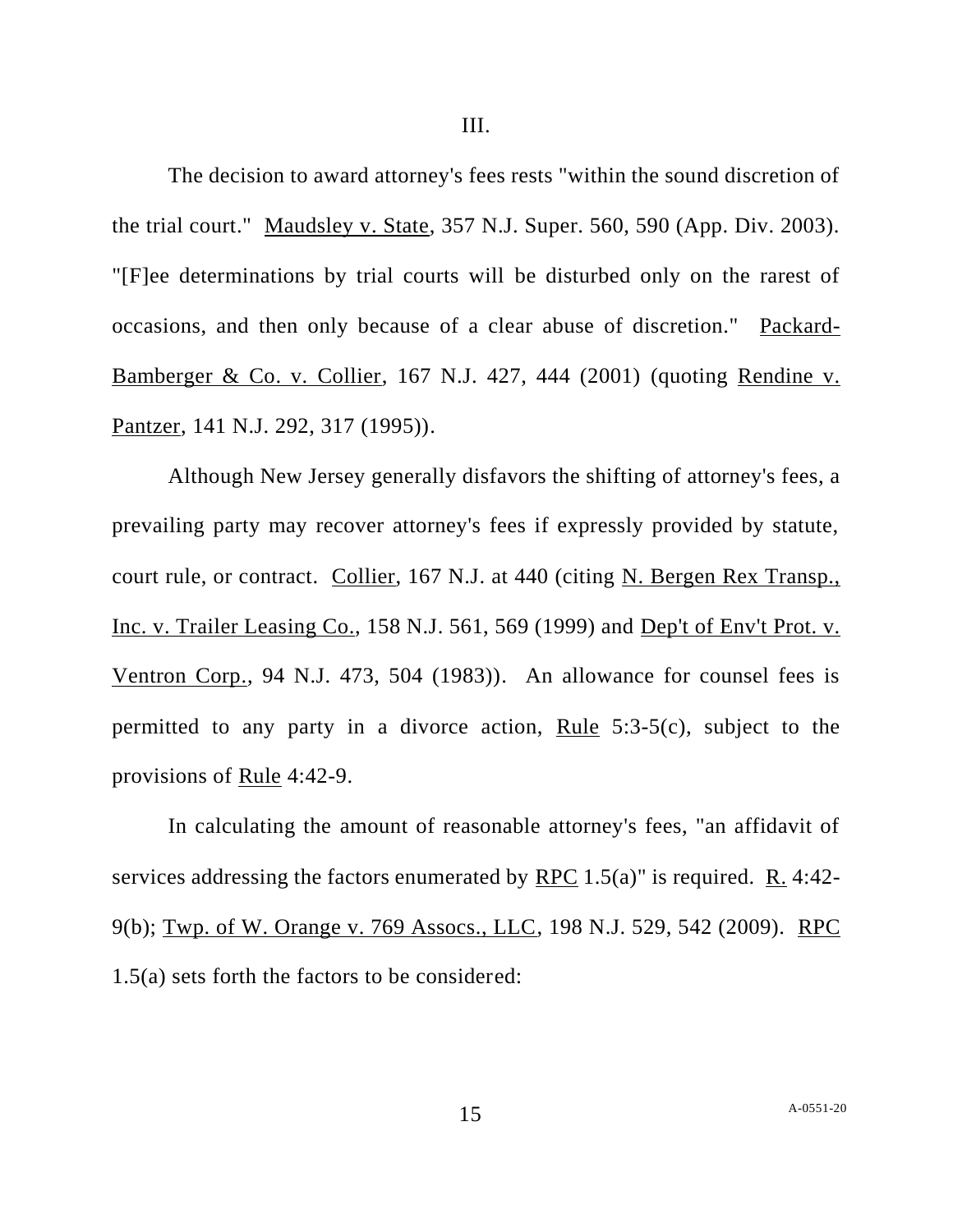The decision to award attorney's fees rests "within the sound discretion of the trial court." Maudsley v. State, 357 N.J. Super. 560, 590 (App. Div. 2003). "[F]ee determinations by trial courts will be disturbed only on the rarest of occasions, and then only because of a clear abuse of discretion." Packard-Bamberger & Co. v. Collier, 167 N.J. 427, 444 (2001) (quoting Rendine v. Pantzer, 141 N.J. 292, 317 (1995)).

Although New Jersey generally disfavors the shifting of attorney's fees, a prevailing party may recover attorney's fees if expressly provided by statute, court rule, or contract. Collier, 167 N.J. at 440 (citing N. Bergen Rex Transp., Inc. v. Trailer Leasing Co., 158 N.J. 561, 569 (1999) and Dep't of Env't Prot. v. Ventron Corp., 94 N.J. 473, 504 (1983)). An allowance for counsel fees is permitted to any party in a divorce action, Rule  $5:3-5(c)$ , subject to the provisions of <u>Rule</u> 4:42-9.

In calculating the amount of reasonable attorney's fees, "an affidavit of services addressing the factors enumerated by  $RPC 1.5(a)$ " is required. R. 4:42-9(b); Twp. of W. Orange v. 769 Assocs., LLC, 198 N.J. 529, 542 (2009). RPC 1.5(a) sets forth the factors to be considered: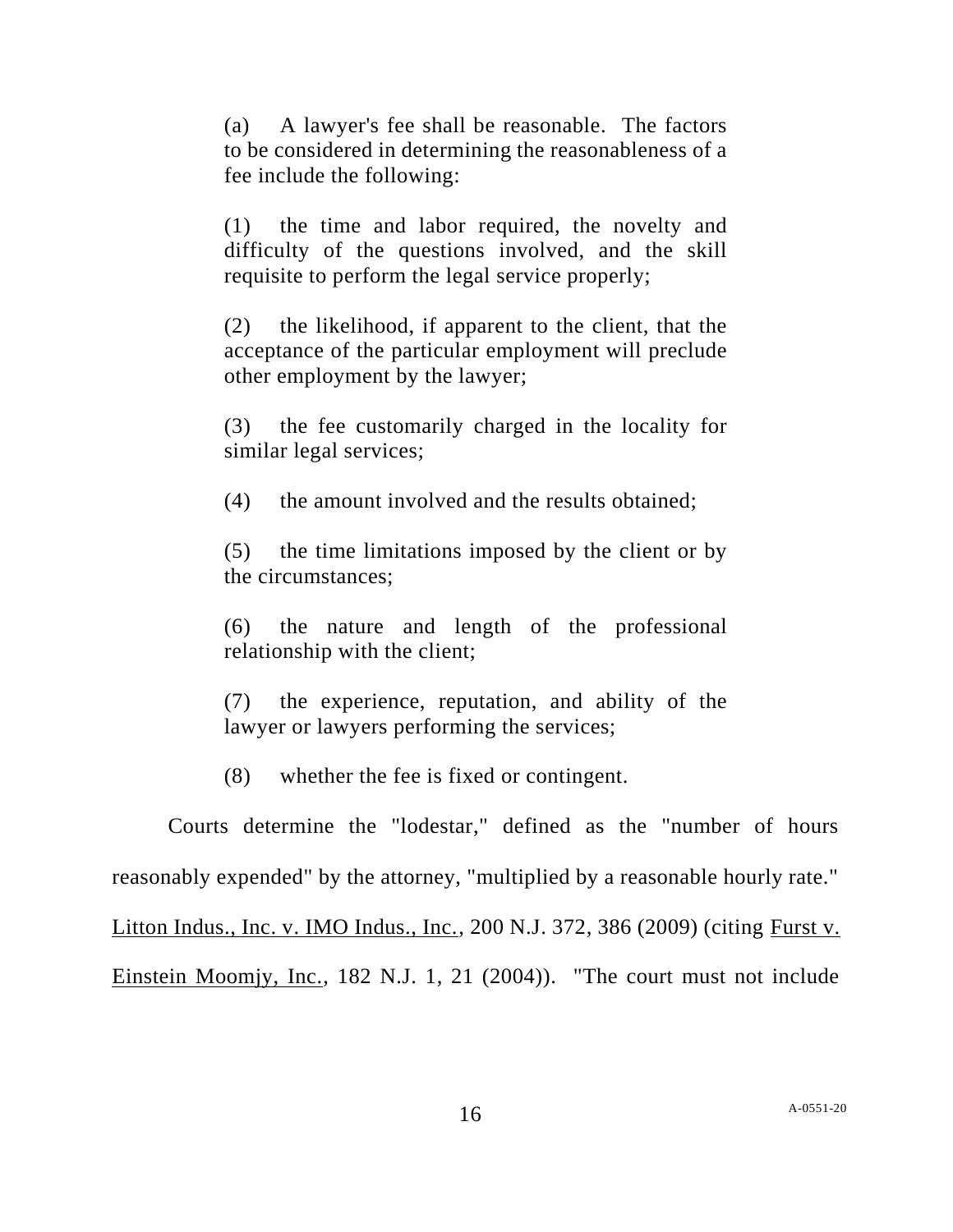(a) A lawyer's fee shall be reasonable. The factors to be considered in determining the reasonableness of a fee include the following:

(1) the time and labor required, the novelty and difficulty of the questions involved, and the skill requisite to perform the legal service properly;

(2) the likelihood, if apparent to the client, that the acceptance of the particular employment will preclude other employment by the lawyer;

(3) the fee customarily charged in the locality for similar legal services;

(4) the amount involved and the results obtained;

(5) the time limitations imposed by the client or by the circumstances;

(6) the nature and length of the professional relationship with the client;

(7) the experience, reputation, and ability of the lawyer or lawyers performing the services;

(8) whether the fee is fixed or contingent.

Courts determine the "lodestar," defined as the "number of hours reasonably expended" by the attorney, "multiplied by a reasonable hourly rate." Litton Indus., Inc. v. IMO Indus., Inc., 200 N.J. 372, 386 (2009) (citing Furst v. Einstein Moomjy, Inc., 182 N.J. 1, 21 (2004)). "The court must not include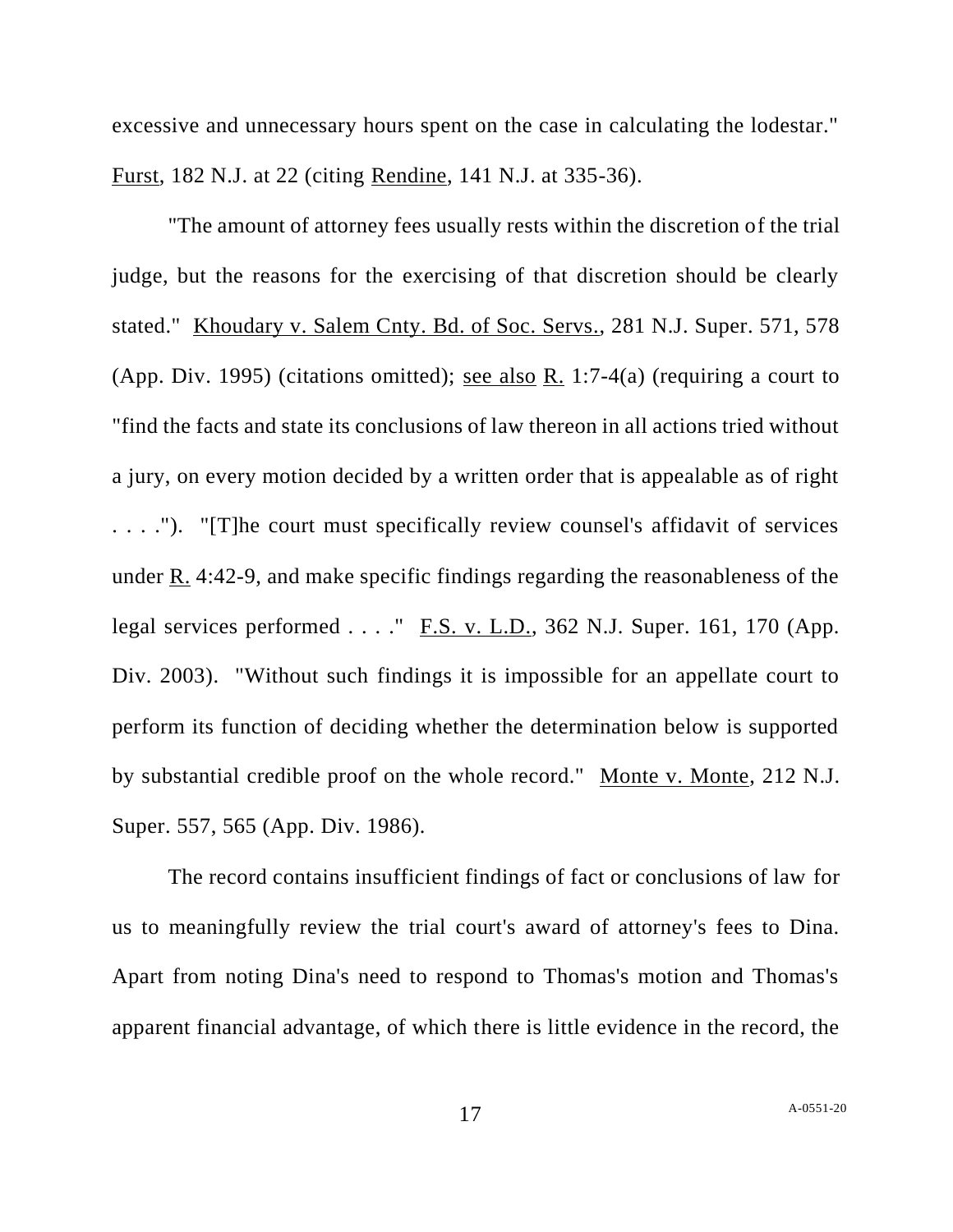excessive and unnecessary hours spent on the case in calculating the lodestar." Furst, 182 N.J. at 22 (citing Rendine, 141 N.J. at 335-36).

"The amount of attorney fees usually rests within the discretion of the trial judge, but the reasons for the exercising of that discretion should be clearly stated." Khoudary v. Salem Cnty. Bd. of Soc. Servs., 281 N.J. Super. 571, 578 (App. Div. 1995) (citations omitted); see also R. 1:7-4(a) (requiring a court to "find the facts and state its conclusions of law thereon in all actions tried without a jury, on every motion decided by a written order that is appealable as of right . . . ."). "[T]he court must specifically review counsel's affidavit of services under R. 4:42-9, and make specific findings regarding the reasonableness of the legal services performed  $\ldots$ ." <u>F.S. v. L.D.</u>, 362 N.J. Super. 161, 170 (App. Div. 2003). "Without such findings it is impossible for an appellate court to perform its function of deciding whether the determination below is supported by substantial credible proof on the whole record." Monte v. Monte, 212 N.J. Super. 557, 565 (App. Div. 1986).

The record contains insufficient findings of fact or conclusions of law for us to meaningfully review the trial court's award of attorney's fees to Dina. Apart from noting Dina's need to respond to Thomas's motion and Thomas's apparent financial advantage, of which there is little evidence in the record, the